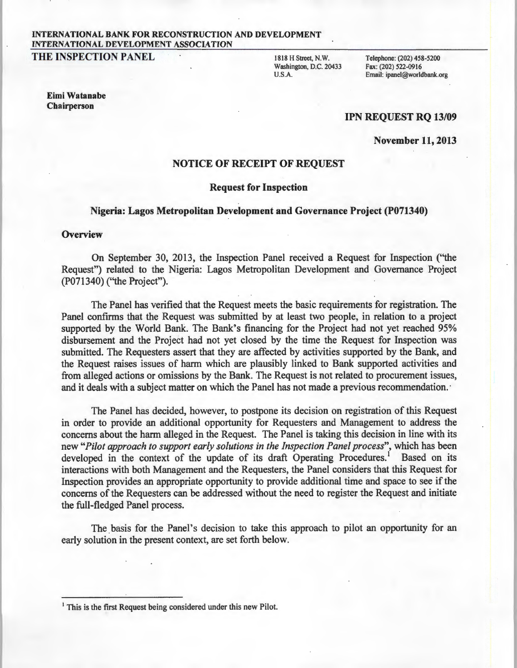# INTERNATIONAL BANK FOR RECONSTRUCTION AND DEVELOPMENT INTERNATIONAL DEVELOPMENT ASSOCIATION

THE INSPECTION PANEL 1818 H Street, N.W.

Washington, D.C. 20433 U.S.A.

Telephone: (202) 458-5200 Fax: (202) 522-0916 Email: ipanel@worldbank.org

#### Eimi Watanabe Chairperson

## lPN REQUEST RQ 13/09

November 11,2013

# NOTICE OF RECEIPT OF REQUEST

#### Request for Inspection

## Nigeria: Lagos Metropolitan Development and Governance Project (P071340)

#### **Overview**

On September 30, 2013, the Inspection Panel received a Request for Inspection ("the Request") related to the Nigeria: Lagos Metropolitan Development and Governance Project (P071340) ("the Project").

The Panel has verified that the Request meets the basic requirements for registration. The Panel confirms that the Request was submitted by at least two people, in relation to a project supported by the World Bank. The Bank's financing for the Project had not yet reached 95% disbursement and the Project had not yet closed by the time the Request for Inspection was submitted. The Requesters assert that they are affected by activities supported by the Bank, and the Request raises issues of harm which are plausibly linked to Bank supported activities and from alleged actions or omissions by the Bank. The Request is not related to procurement issues, and it deals with a subject matter on which the Panel has not made a previous recommendation. ·

The Panel has decided, however, to postpone its decision on registration of this Request in order to provide an additional opportunity for Requesters and Management to address the concerns about the harm alleged in the Request. The Panel is taking this decision in line with its new "Pilot approach to support early solutions in the Inspection Panel process", which has been developed in the context of the update of its draft Operating Procedures.<sup>1</sup> Based on its interactions with both Management and the Requesters, the Panel considers that this Request for Inspection provides an appropriate opportunity to provide additional time and space to see if the concerns of the Requesters can be addressed without the need to register the Request and initiate the full-fledged Panel process.

The basis for the Panel's decision to take this approach to pilot an opportunity for an early solution in the present context, are set forth below.

<sup>&</sup>lt;sup>1</sup> This is the first Request being considered under this new Pilot.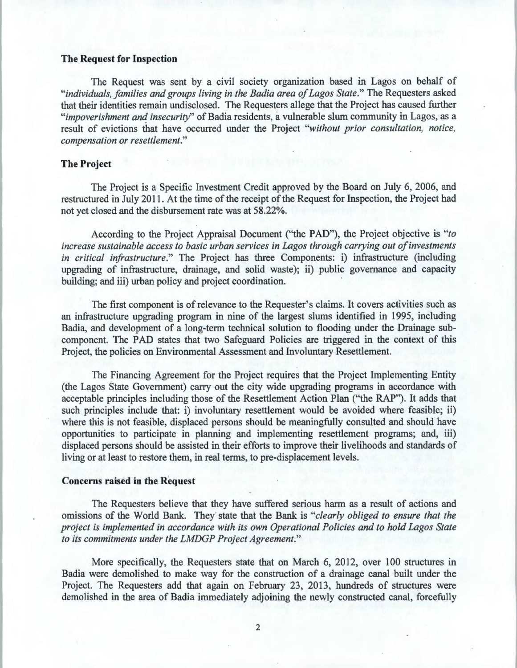#### **The Request for Inspection**

The Request was sent by a civil society organization based in Lagos on behalf of *"individuals, families and groups living in the Badia area of Lagos State."* The Requesters asked that their identities remain undisclosed. The Requesters allege that the Project has caused further *"impoverishment anq insecurity"* of Badia residents, a vulnerable slum community in Lagos, as a result of evictions that have occurred under the Project *"without prior consultation, notice, compensation or resettlement."* 

# **The Project**

The Project is a Specific Investment Credit approved by the Board on July 6, 2006, and restructured in July 2011. At the time of the receipt of the Request for Inspection, the Project had not yet closed and the disbursement rate was at 58.22%.

According to the Project Appraisal Document ("the PAD"), the Project objective is *"to increase sustainable access to basic urban services in Lagos through carrying out of investments in critical infrastructure."* The Project has three Components: i) infrastructure (including upgrading of infrastructure, drainage, and solid waste); ii) public governance and capacity building; and iii) urban policy and project coordination.

The first component is of relevance to the Requester's claims. It covers activities such as an infrastructure upgrading program in nine of the largest slums identified in 1995, including Badia, and development of a long-term technical solution to flooding under the Drainage subcomponent. The PAD states that two Safeguard Policies are triggered in the context of this Project, the policies on Environmental Assessment and Involuntary Resettlement.

The Financing Agreement for the Project requires that the Project Implementing Entity (the Lagos State Government) carry out the city wide upgrading programs in accordance with acceptable principles including those of the Resettlement Action Plan ("the RAP"). It adds that such principles include that: i) involuntary resettlement would be avoided where feasible; ii) where this is not feasible, displaced persons should be meaningfully consulted and should have opportunities to participate in planning and implementing resettlement programs; and, iii) displaced persons should be assisted in their efforts to improve their livelihoods and standards of living or at least to restore them, in real terms, to pre-displacement levels.

#### **Concerns raised in the Request**

The Requesters believe that they have suffered serious harm as a result of actions and omissions of the World Bank. They· state that the Bank is *"clearly obliged to ensure that the project is implemented in accordance with its own Operational Policies and to hold Lagos State to its commitments under the LMDGP Project Agreement."* 

More specifically, the Requesters state that on March 6, 2012, over 100 structures in Badia were demolished to make way for the construction of a drainage canal built under the Project. The Requesters add that again on February 23, 2013, hundreds of structures were demolished in the area of Badia immediately adjoining the newly constructed canal, forcefully

2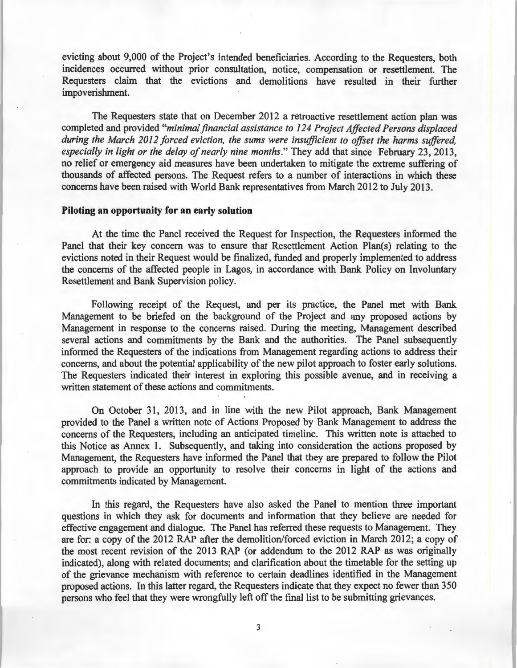evicting about 9,000 of the Project's intended beneficiaries. According to the Requesters, both incidences occurred without prior consultation, notice, compensation or resettlement. The Requesters claim that the evictions and demolitions have resulted in their further impoverishment.

The Requesters state that on December 2012 a retroactive resettlement action plan was completed and provided *"minimal financial assistance to 124 Project Affected Persons displaced during the March 2012 forced eviction, the sums were insufficient to offset the harms suffered, especially in light or the delay of nearly nine months."* They add that since February 23, 2013, no relief or emergency aid measures have been undertaken to mitigate the extreme suffering of thousands of affected persons. The Request refers to a number of interactions in which these concerns have been raised with World Bank representatives from March 2012 to July 2013.

### **Piloting an opportunity for an early solution**

At the time the Panel received the Request for Inspection, the Requesters informed the Panel that their key concern was to ensure that Resettlement Action Plan(s) relating to the evictions noted in their Request would be finalized, funded and properly implemented to address the concerns of the affected people in Lagos, in accordance with Bank Policy on Involuntary Resettlement and Bank Supervision policy.

Following receipt of the Request, and per its practice, the Panel met with Bank Management to be briefed on the background of the Project and any proposed actions by Management in response to the concerns raised. During the meeting, Management described several actions and commitments by the Bank and the authorities. The Panel subsequently informed the Requesters of the indications from Management regarding actions to address their concerns, and about the potential applicability of the new pilot approach to foster early solutions. The Requesters indicated their interest in exploring this possible avenue, and in receiving a written statement of these actions and commitments.

On October 31, 2013, and in line with the new Pilot approach, Bank Management provided to the Panel a written note of Actions Proposed by Bank Management to address the concerns of the Requesters, including an anticipated timeline. This written note is attached to this Notice as Annex 1. Subsequently, and taking into consideration the actions proposed by Management, the Requesters have informed the Panel that they are prepared to follow the Pilot approach to provide an opportunity to resolve their concerns in light of the actions and commitments indicated by Management.

In this regard, the Requesters have also asked the Panel to mention three important questions in which they ask for documents and information that they believe are needed for effective engagement and dialogue. The Panel has referred these requests to Management. They are for: a copy of the 2012 RAP after the demolition/forced eviction in March 2012; a copy of the most recent revision of the 2013 RAP (or addendum to the 2012 RAP as was originally indicated), along with related documents; and clarification about the timetable for the setting up of the grievance mechanism with reference to certain deadlines identified in the Management proposed actions. In this latter regard, the Requesters indicate that they expect no fewer than 350 persons who feel that they were wrongfully left off the final list to be submitting grievances.

3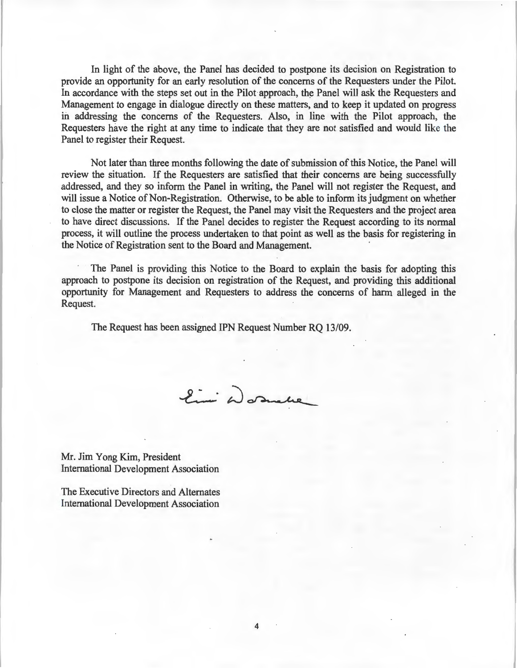In light of the above, the Panel has decided to postpone its decision on Registration to provide an opportunity for an early resolution of the concerns of the Requesters under the Pilot. In accordance with the steps set out in the Pilot approach, the Panel will ask the Requesters and Management to engage in dialogue directly on these matters, and to keep it updated on progress in addressing the concerns of the Requesters. Also, in line with the Pilot approach, the Requesters have the right at any time to indicate that they are not satisfied and would like the Panel to register their Request.

Not later than three months following the date of submission of this Notice, the Panel will review the situation. If the Requesters are satisfied that their concerns are being successfully addressed, and they so inform the Panel in writing, the Panel will not register the Request, and will issue a Notice of Non-Registration. Otherwise, to be able to inform its judgment on whether to close the matter or register the Request, the Panel may visit the Requesters and the project area to have direct discussions. If the Panel decides to register the Request according to its normal process, it will outline the process undertaken to that point as well as the basis for registering in the Notice of Registration sent to the Board and Management.

The Panel is providing this Notice to the Board to explain the basis for adopting this approach to postpone its decision on registration of the Request, and providing this additional opportunity for Management and Requesters to address the concerns of harm alleged in the Request.

The Request has been assigned IPN Request Number RO 13/09.

Eini Wormbe

Mr. Jim Yang Kim, President International Development Association

The Executive Directors and Alternates International Development Association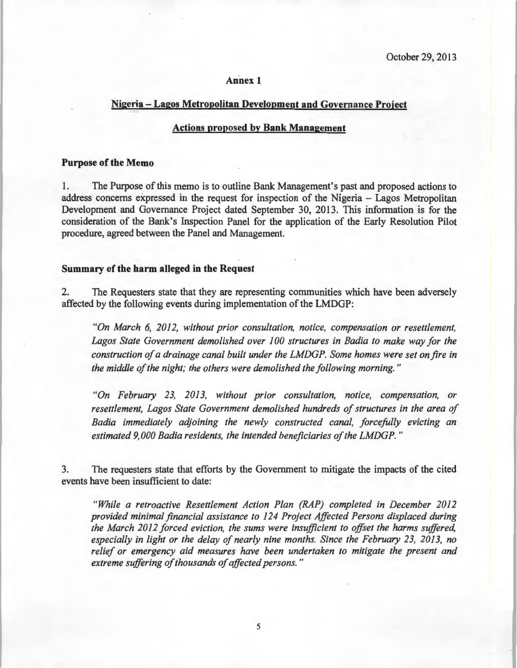#### **Annex 1**

## **Nigeria -Lagos Metropolitan Development and Governance Project**

### **Actions proposed by Bank Management**

#### **Purpose of the Memo**

1. The Purpose of this memo is to outline Bank Management's past and proposed actions to address concerns expressed in the request for inspection of the Nigeria - Lagos Metropolitan Development and Governance Project dated September 30, 2013. This information is for the consideration of the Bank's Inspection Panel for the application of the Early Resolution Pilot procedure, agreed between the Panel and Management.

#### **Summary of the harm alleged in the Request**

2. The Requesters state that they are representing communities which have been adversely affected by the following events during implementation of the LMDGP:

*"On March 6, 2012, without prior consultation, notice, compensation or resettlement, Lagos State Government demolished over 100 structures in Badia to make way for the construction of a drainage canal built under the LMDGP. Some homes were set on fire in*  the middle of the night; the others were demolished the following morning."

*"On February 23, 2013, without prior consultation, notice, compensation, or resettlement, Lagos State Government demolished hundreds of structures in the area of Badia immediately adjoining the newly constructed canal, forcefully evicting an estimated 9,000 Badia residents, the intended beneficiaries ofthe LMDGP. "* 

3. The requesters state that efforts by the Government to mitigate the impacts of the cited events have been insufficient to date:

*"While a retroactive Resettlement Action Plan (RAP) completed in December 2012 provided minimal financial assistance to 124 Project Affected Persons displaced during the March 2012 forced eviction, the sums were insufficient to offset the harms suffered, especially in light or the delay of nearly nine months. Since the February 23, 2013, no relief or emergency aid measures have been undertaken to mitigate the present and extreme suffering of thousands of affected persons.* "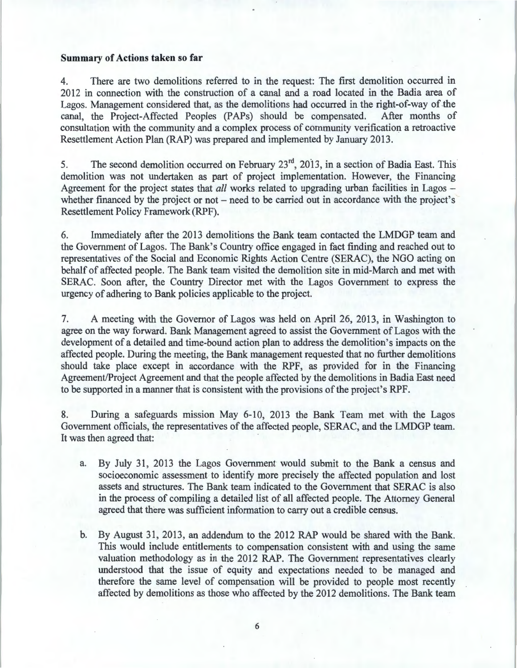## **Summary of Actions taken so far**

4. There are two demolitions referred to in the request: The first demolition occurred in 2012 in connection with the construction of a canal and a road located in the Badia area of Lagos. Management considered that, as the demolitions had occurred in the right-of-way of the canal, the Project-Affected Peoples (PAPs) should be compensated. After months of consultation with the community and a complex process of community verification a retroactive Resettlement Action Plan (RAP) was prepared and implemented by January 2013.

5. The second demolition occurred on February 23<sup>rd</sup>, 2013, in a section of Badia East. This demolition was not undertaken as part of project implementation. However, the Financing Agreement for the project states that *all* works related to upgrading urban facilities in Lagos – whether financed by the project or not  $-$  need to be carried out in accordance with the project's Resettlement Policy Framework (RPF).

6. Immediately after the 2013 demolitions the Bank team contacted the LMDGP team and the Government of Lagos. The Bank's Country office engaged in fact finding and reached out to representatives of the Social and Economic Rights Action Centre (SERAC), the NGO acting on behalf of affected people. The Bank team visited the demolition site in mid-March and met with SERAC. Soon after, the Country Director met with the Lagos Government to express the urgency of adhering to Bank policies applicable to the project.

7. A meeting with the Governor of Lagos was held on April 26, 2013, in Washington to agree on the way forward. Bank Management agreed to assist the Government of Lagos with the development of a detailed and time-bound action plan to address the demolition's impacts on the affected people. During the meeting, the Bank management requested that no further demolitions should take place except in accordance with the RPF, as provided for in the Financing Agreement/Project Agreement and that the people affected by the demolitions in Badia East need to be supported in a manner that is consistent with the provisions of the project's RPF.

8. During a safeguards mission May 6-10, 2013 the Bank Team met with the Lagos Government officials, the representatives of the affected people, SERAC, and the LMDGP team. It was then agreed that:

- a. By July 31, 2013 the Lagos Government would submit to the Bank a census and socioeconomic assessment to identify more precisely the affected population and lost assets and structures. The Bank team indicated to the Government that SERAC is also in the process of compiling a detailed list of all affected people. The Attorney General agreed that there was sufficient information to carry out a credible census.
- b. By August 31, 2013, an addendum to the 2012 RAP would be shared with the Bank. This would include entitlements to compensation consistent with and using the same valuation methodology as in the 2012 RAP. The Government representatives clearly understood that the issue of equity and expectations needed to be managed and therefore the same level of compensation will be provided to people most recently affected by demolitions as those who affected by the 2012 demolitions. The Bank team

6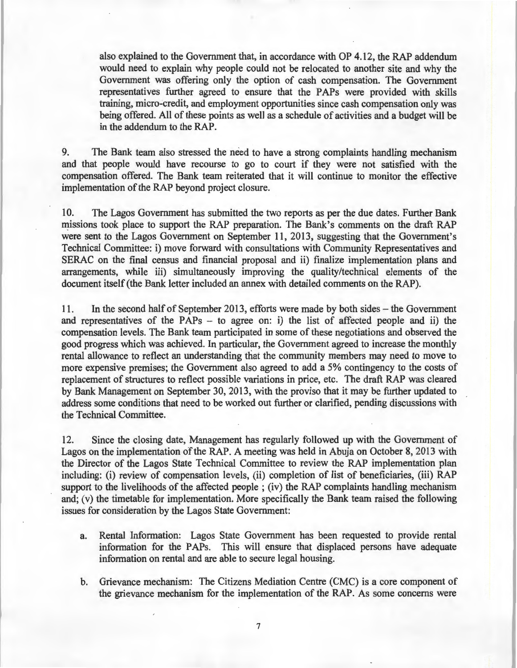also explained to the Government that, in accordance with OP 4.12, the RAP addendum would need to explain why people could not be relocated to another site and why the Government was offering only the option of cash compensation. The Government representatives further agreed to ensure that the PAPs were provided with skills training, micro-credit, and employment opportunities since cash compensation only was being offered. All of these points as well as a schedule of activities and a budget will be in the addendum to the RAP.

9. The Bank team also stressed the need to have a strong complaints handling mechanism and that people would have recourse to go to court if they were not satisfied with the compensation offered. The Bank team reiterated that it will continue to monitor the effective implementation of the RAP beyond project closure.

10. The Lagos Government has submitted the two reports as per the due dates. Further Bank missions took place to support the RAP preparation. The Bank's comments on the draft RAP were sent to the Lagos Government on September 11, 2013, suggesting that the Government's Technical Committee: i) move forward with consultations with Community Representatives and SERAC on the final census and financial proposal and ii) finalize implementation plans and arrangements, while iii) simultaneously improving the quality/technical elements of the document itself (the Bank letter included an annex with detailed comments on the RAP).

11. In the second half of September 2013, efforts were made by both sides - the Government and representatives of the PAPs - to agree on: i) the list of affected people and ii) the compensation levels. The Bank team participated in some of these negotiations and observed the good progress which was achieved. In particular, the Government agreed to increase the monthly rental allowance to reflect an understanding that the community members may need to move to more expensive premises; the Government also agreed to add a 5% contingency to the costs of replacement of structures to reflect possible variations in price, etc. The draft RAP was cleared by Bank Management on September 30, 2013, with the proviso that it may be further updated to address some conditions that need to be worked out further or clarified, pending discussions with the Technical Committee.

12. Since the closing date, Management has regularly followed up with the Government of Lagos on the implementation of the RAP. A meeting was held in Ahuja on October 8, 2013 with the Director of the Lagos State Technical Committee to review the RAP implementation plan including: (i) review of compensation levels, (ii) completion of list of beneficiaries, (iii) RAP support to the livelihoods of the affected people ; (iv) the RAP complaints handling mechanism and; (v) the timetable for implementation. More specifically the Bank team raised the following issues for consideration by the Lagos State Government:

- a. Rental Information: Lagos State Government has been requested to provide rental information for the PAPs. This will ensure that displaced persons have adequate information on rental and are able to secure legal housing.
- b. Grievance mechanism: The Citizens Mediation Centre (CMC) is a core component of the grievance mechanism for the implementation of the RAP. As some concerns were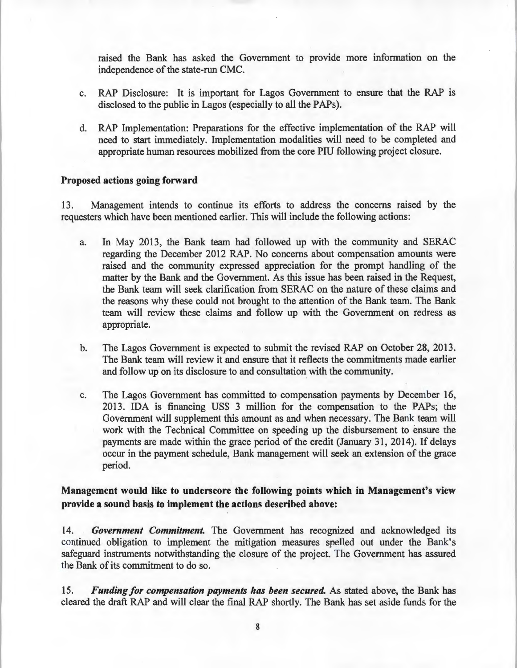raised the Bank has asked the Government to provide more information on the independence of the state-run CMC.

- c. RAP Disclosure: It is important for Lagos Government to ensure that the RAP is disclosed to the public in Lagos (especially to all the PAPs).
- d. RAP Implementation: Preparations for the effective implementation of the RAP will need to start immediately. Implementation modalities will need to be completed and appropriate human resources mobilized from the core PIU following project closure.

## **Proposed actions going forward**

13. Management intends to continue its efforts to address the concerns raised by the requesters which have been mentioned earlier. This will include the following actions:

- a. In May 2013, the Bank team had followed up with the community and SERAC regarding the December 2012 RAP. No concerns about compensation amounts were raised and the community expressed appreciation for the prompt handling of the matter by the Bank and the Government. As this issue has been raised in the Request, the Bank team will seek clarification from SERAC on the nature of these claims and the reasons why these could not brought to the attention of the Bank team. The Bank team will review these claims and follow up with the Government on redress as appropriate.
- b. The Lagos Government is expected to submit the revised RAP on October 28, 2013. The Bank team will review it and ensure that it reflects the commitments made earlier and follow up on its disclosure to and consultation with the community.
- c. The Lagos Government has committed to compensation payments by December 16, 2013. IDA is financing US\$ 3 million for the compensation to the PAPs; the Government will supplement this amount as and when necessary. The Bank team will work with the Technical Committee on speeding up the disbursement to ensure the payments are made within the grace period of the credit (January 31, 2014). If delays occur in the payment schedule, Bank management will seek an extension of the grace period.

# **Management would like to underscore the following points which in Management's view provide a sound basis to implement the actions described above:**

14. *Government Commitment.* The Government has recognized and acknowledged its continued obligation to implement the mitigation measures spelled out under the Bank's safeguard instruments notwithstanding the closure of the project. The Government has assured the Bank of its commitment to do so.

15. *Funding for compensation payments has been secured.* As stated above, the Bank has cleared the draft RAP and will clear the final RAP shortly. The Bank has set aside funds for the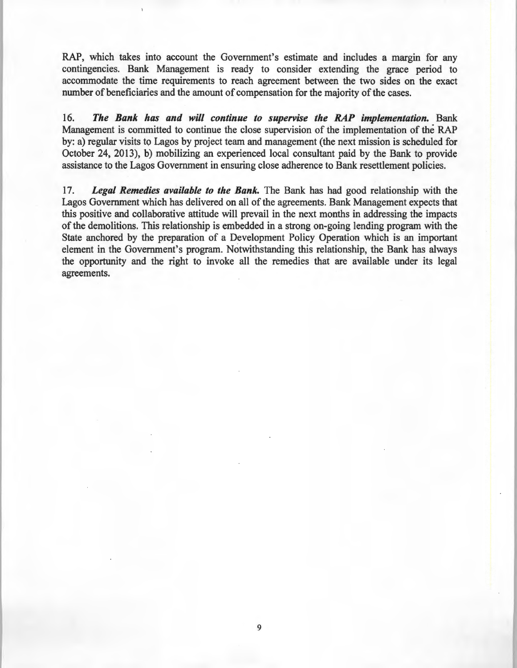RAP, which takes into account the Government's estimate and includes a margin for any contingencies. Bank Management is ready to consider extending the grace period to accommodate the time requirements to reach agreement between the two sides on the exact number of beneficiaries and the amount of compensation for the majority of the cases.

16. *The Bank has and will continue to supervise the RAP implementation.* Bank Management is committed to continue the close supervision of the implementation of the RAP by: a) regular visits to Lagos by project team and management (the next mission is scheduled for October 24, 2013), b) mobilizing an experienced local consultant paid by the Bank to provide assistance to the Lagos Government in ensuring close adherence to Bank resettlement policies.

17. *Legal Remedies available to the Bank.* The Bank has had good relationship with the Lagos Government which has delivered on all of the agreements. Bank Management expects that this positive and collaborative attitude will prevail in the next months in addressing the impacts of the demolitions. This relationship is embedded in a strong on-going lending program with the State anchored by the preparation of a Development Policy Operation which is an important element in the Government's program. Notwithstanding this relationship, the Bank has always the opportunity and the right to invoke all the remedies that are available under its legal agreements.